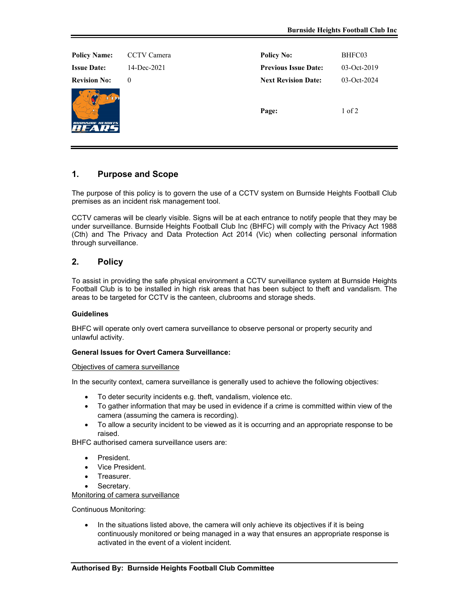| <b>Policy Name:</b>  | CCTV Camera | <b>Policy No:</b>           | BHFC03        |
|----------------------|-------------|-----------------------------|---------------|
| <b>Issue Date:</b>   | 14-Dec-2021 | <b>Previous Issue Date:</b> | $03-Oct-2019$ |
| <b>Revision No:</b>  | $\theta$    | <b>Next Revision Date:</b>  | 03-Oct-2024   |
| <b>NSINE HEICHTS</b> |             | Page:                       | $1$ of $2$    |

# **1. Purpose and Scope**

The purpose of this policy is to govern the use of a CCTV system on Burnside Heights Football Club premises as an incident risk management tool.

CCTV cameras will be clearly visible. Signs will be at each entrance to notify people that they may be under surveillance. Burnside Heights Football Club Inc (BHFC) will comply with the Privacy Act 1988 (Cth) and The Privacy and Data Protection Act 2014 (Vic) when collecting personal information through surveillance.

## **2. Policy**

To assist in providing the safe physical environment a CCTV surveillance system at Burnside Heights Football Club is to be installed in high risk areas that has been subject to theft and vandalism. The areas to be targeted for CCTV is the canteen, clubrooms and storage sheds.

### **Guidelines**

BHFC will operate only overt camera surveillance to observe personal or property security and unlawful activity.

#### **General Issues for Overt Camera Surveillance:**

#### Objectives of camera surveillance

In the security context, camera surveillance is generally used to achieve the following objectives:

- To deter security incidents e.g. theft, vandalism, violence etc.
- To gather information that may be used in evidence if a crime is committed within view of the camera (assuming the camera is recording).
- To allow a security incident to be viewed as it is occurring and an appropriate response to be raised.

BHFC authorised camera surveillance users are:

- President.
- Vice President.
- Treasurer.
- Secretary.

Monitoring of camera surveillance

Continuous Monitoring:

• In the situations listed above, the camera will only achieve its objectives if it is being continuously monitored or being managed in a way that ensures an appropriate response is activated in the event of a violent incident.